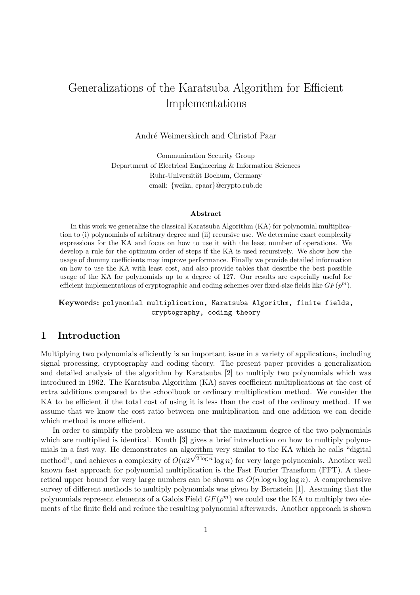## Generalizations of the Karatsuba Algorithm for Efficient Implementations

André Weimerskirch and Christof Paar

Communication Security Group Department of Electrical Engineering & Information Sciences Ruhr-Universität Bochum, Germany email: {weika, cpaar}@crypto.rub.de

#### Abstract

In this work we generalize the classical Karatsuba Algorithm (KA) for polynomial multiplication to (i) polynomials of arbitrary degree and (ii) recursive use. We determine exact complexity expressions for the KA and focus on how to use it with the least number of operations. We develop a rule for the optimum order of steps if the KA is used recursively. We show how the usage of dummy coefficients may improve performance. Finally we provide detailed information on how to use the KA with least cost, and also provide tables that describe the best possible usage of the KA for polynomials up to a degree of 127. Our results are especially useful for efficient implementations of cryptographic and coding schemes over fixed-size fields like  $GF(p^m)$ .

## Keywords: polynomial multiplication, Karatsuba Algorithm, finite fields, cryptography, coding theory

## 1 Introduction

Multiplying two polynomials efficiently is an important issue in a variety of applications, including signal processing, cryptography and coding theory. The present paper provides a generalization and detailed analysis of the algorithm by Karatsuba [2] to multiply two polynomials which was introduced in 1962. The Karatsuba Algorithm (KA) saves coefficient multiplications at the cost of extra additions compared to the schoolbook or ordinary multiplication method. We consider the KA to be efficient if the total cost of using it is less than the cost of the ordinary method. If we assume that we know the cost ratio between one multiplication and one addition we can decide which method is more efficient.

In order to simplify the problem we assume that the maximum degree of the two polynomials which are multiplied is identical. Knuth [3] gives a brief introduction on how to multiply polynomials in a fast way. He demonstrates an algorithm very similar to the KA which he calls "digital" method", and achieves a complexity of  $O(n2^{\sqrt{2 \log n}} \log n)$  for very large polynomials. Another well known fast approach for polynomial multiplication is the Fast Fourier Transform (FFT). A theoretical upper bound for very large numbers can be shown as  $O(n \log n \log \log n)$ . A comprehensive survey of different methods to multiply polynomials was given by Bernstein [1]. Assuming that the polynomials represent elements of a Galois Field  $GF(p^m)$  we could use the KA to multiply two elements of the finite field and reduce the resulting polynomial afterwards. Another approach is shown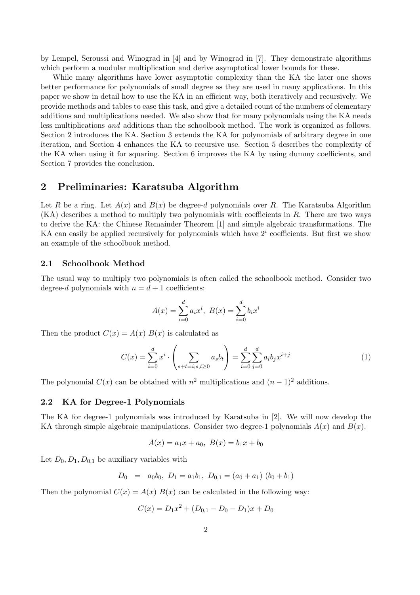by Lempel, Seroussi and Winograd in [4] and by Winograd in [7]. They demonstrate algorithms which perform a modular multiplication and derive asymptotical lower bounds for these.

While many algorithms have lower asymptotic complexity than the KA the later one shows better performance for polynomials of small degree as they are used in many applications. In this paper we show in detail how to use the KA in an efficient way, both iteratively and recursively. We provide methods and tables to ease this task, and give a detailed count of the numbers of elementary additions and multiplications needed. We also show that for many polynomials using the KA needs less multiplications and additions than the schoolbook method. The work is organized as follows. Section 2 introduces the KA. Section 3 extends the KA for polynomials of arbitrary degree in one iteration, and Section 4 enhances the KA to recursive use. Section 5 describes the complexity of the KA when using it for squaring. Section 6 improves the KA by using dummy coefficients, and Section 7 provides the conclusion.

## 2 Preliminaries: Karatsuba Algorithm

Let R be a ring. Let  $A(x)$  and  $B(x)$  be degree-d polynomials over R. The Karatsuba Algorithm  $(KA)$  describes a method to multiply two polynomials with coefficients in R. There are two ways to derive the KA: the Chinese Remainder Theorem [1] and simple algebraic transformations. The KA can easily be applied recursively for polynomials which have  $2<sup>i</sup>$  coefficients. But first we show an example of the schoolbook method.

#### 2.1 Schoolbook Method

The usual way to multiply two polynomials is often called the schoolbook method. Consider two degree-d polynomials with  $n = d + 1$  coefficients:

$$
A(x) = \sum_{i=0}^{d} a_i x^i, B(x) = \sum_{i=0}^{d} b_i x^i
$$

Then the product  $C(x) = A(x) B(x)$  is calculated as

$$
C(x) = \sum_{i=0}^{d} x^{i} \cdot \left( \sum_{s+t=i; s,t \ge 0} a_{s} b_{t} \right) = \sum_{i=0}^{d} \sum_{j=0}^{d} a_{i} b_{j} x^{i+j}
$$
(1)

The polynomial  $C(x)$  can be obtained with  $n^2$  multiplications and  $(n-1)^2$  additions.

### 2.2 KA for Degree-1 Polynomials

The KA for degree-1 polynomials was introduced by Karatsuba in [2]. We will now develop the KA through simple algebraic manipulations. Consider two degree-1 polynomials  $A(x)$  and  $B(x)$ .

$$
A(x) = a_1x + a_0, \ B(x) = b_1x + b_0
$$

Let  $D_0, D_1, D_{0,1}$  be auxiliary variables with

$$
D_0 = a_0b_0, D_1 = a_1b_1, D_{0,1} = (a_0 + a_1) (b_0 + b_1)
$$

Then the polynomial  $C(x) = A(x) B(x)$  can be calculated in the following way:

$$
C(x) = D_1 x^2 + (D_{0,1} - D_0 - D_1)x + D_0
$$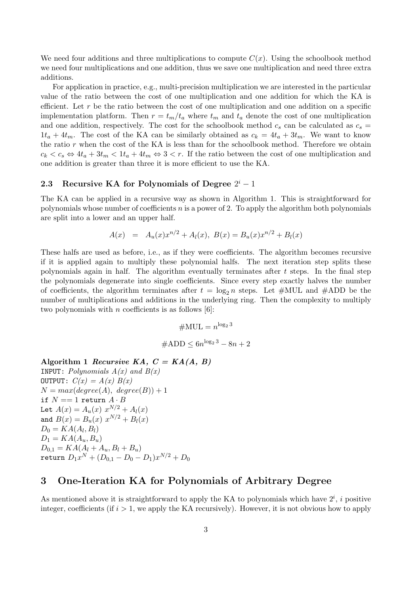We need four additions and three multiplications to compute  $C(x)$ . Using the schoolbook method we need four multiplications and one addition, thus we save one multiplication and need three extra additions.

For application in practice, e.g., multi-precision multiplication we are interested in the particular value of the ratio between the cost of one multiplication and one addition for which the KA is efficient. Let r be the ratio between the cost of one multiplication and one addition on a specific implementation platform. Then  $r = t_m/t_a$  where  $t_m$  and  $t_a$  denote the cost of one multiplication and one addition, respectively. The cost for the schoolbook method  $c_s$  can be calculated as  $c_s =$  $1t_a + 4t_m$ . The cost of the KA can be similarly obtained as  $c_k = 4t_a + 3t_m$ . We want to know the ratio  $r$  when the cost of the KA is less than for the schoolbook method. Therefore we obtain  $c_k < c_s \Leftrightarrow 4t_a + 3t_m < 1t_a + 4t_m \Leftrightarrow 3 < r$ . If the ratio between the cost of one multiplication and one addition is greater than three it is more efficient to use the KA.

## 2.3 Recursive KA for Polynomials of Degree  $2^i - 1$

The KA can be applied in a recursive way as shown in Algorithm 1. This is straightforward for polynomials whose number of coefficients  $n$  is a power of 2. To apply the algorithm both polynomials are split into a lower and an upper half.

$$
A(x) = A_u(x)x^{n/2} + A_l(x), B(x) = B_u(x)x^{n/2} + B_l(x)
$$

These halfs are used as before, i.e., as if they were coefficients. The algorithm becomes recursive if it is applied again to multiply these polynomial halfs. The next iteration step splits these polynomials again in half. The algorithm eventually terminates after  $t$  steps. In the final step the polynomials degenerate into single coefficients. Since every step exactly halves the number of coefficients, the algorithm terminates after  $t = \log_2 n$  steps. Let #MUL and #ADD be the number of multiplications and additions in the underlying ring. Then the complexity to multiply two polynomials with *n* coefficients is as follows  $[6]$ :

$$
#MUL = n^{\log_2 3}
$$

$$
#ADD \le 6n^{\log_2 3} - 8n + 2
$$

#### Algorithm 1 Recursive KA,  $C = KA(A, B)$

**INPUT:** Polynomials  $A(x)$  and  $B(x)$ OUTPUT:  $C(x) = A(x) B(x)$  $N = max(deg(*A*), degree(*B*)) + 1$ if  $N == 1$  return  $A \cdot B$ Let  $A(x) = A_u(x) x^{N/2} + A_l(x)$ and  $B(x) = B_u(x) x^{N/2} + B_l(x)$  $D_0 = KA(A_l, B_l)$  $D_1 = KA(A_u, B_u)$  $D_{0,1} = KA(A_l + A_u, B_l + B_u)$  ${\tt return}\; D_1x^N+(D_{0,1}-D_0-D_1)x^{N/2}+D_0$ 

## 3 One-Iteration KA for Polynomials of Arbitrary Degree

As mentioned above it is straightforward to apply the KA to polynomials which have  $2^i$ , i positive integer, coefficients (if  $i > 1$ , we apply the KA recursively). However, it is not obvious how to apply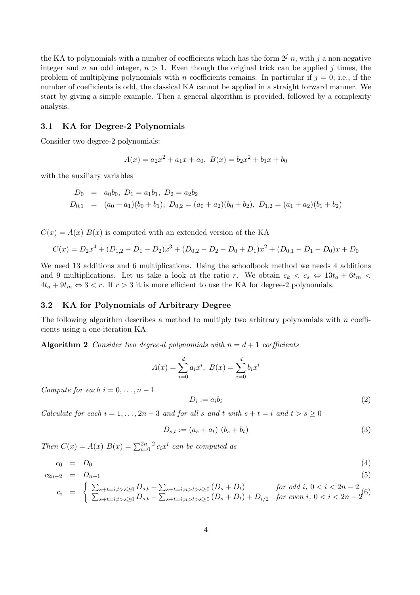the KA to polynomials with a number of coefficients which has the form  $2^{j} n$ , with j a non-negative integer and n an odd integer,  $n > 1$ . Even though the original trick can be applied j times, the problem of multiplying polynomials with n coefficients remains. In particular if  $j = 0$ , i.e., if the number of coefficients is odd, the classical KA cannot be applied in a straight forward manner. We start by giving a simple example. Then a general algorithm is provided, followed by a complexity analysis.

#### 3.1 KA for Degree-2 Polynomials

Consider two degree-2 polynomials:

$$
A(x) = a_2x^2 + a_1x + a_0, \ B(x) = b_2x^2 + b_1x + b_0
$$

with the auxiliary variables

$$
D_0 = a_0b_0, D_1 = a_1b_1, D_2 = a_2b_2
$$
  
\n
$$
D_{0,1} = (a_0 + a_1)(b_0 + b_1), D_{0,2} = (a_0 + a_2)(b_0 + b_2), D_{1,2} = (a_1 + a_2)(b_1 + b_2)
$$

 $C(x) = A(x) B(x)$  is computed with an extended version of the KA

$$
C(x) = D_2x^4 + (D_{1,2} - D_1 - D_2)x^3 + (D_{0,2} - D_2 - D_0 + D_1)x^2 + (D_{0,1} - D_1 - D_0)x + D_0
$$

We need 13 additions and 6 multiplications. Using the schoolbook method we needs 4 additions and 9 multiplications. Let us take a look at the ratio r. We obtain  $c_k < c_s \Leftrightarrow 13t_a + 6t_m$  $4t_a + 9t_m \Leftrightarrow 3 < r$ . If  $r > 3$  it is more efficient to use the KA for degree-2 polynomials.

#### 3.2 KA for Polynomials of Arbitrary Degree

The following algorithm describes a method to multiply two arbitrary polynomials with  $n$  coefficients using a one-iteration KA.

Algorithm 2 Consider two degree-d polynomials with  $n = d + 1$  coefficients

$$
A(x) = \sum_{i=0}^{d} a_i x^i, \ B(x) = \sum_{i=0}^{d} b_i x^i
$$

Compute for each  $i = 0, \ldots, n - 1$ 

$$
D_i := a_i b_i \tag{2}
$$

Calculate for each  $i = 1, \ldots, 2n - 3$  and for all s and t with  $s + t = i$  and  $t > s \ge 0$ 

$$
D_{s,t} := (a_s + a_t) \ (b_s + b_t) \tag{3}
$$

Then  $C(x) = A(x) B(x) = \sum_{i=0}^{2n-2} c_i x^i$  can be computed as

$$
c_0 = D_0 \tag{4}
$$

$$
c_{2n-2} = D_{n-1} \tag{5}
$$

$$
c_i = \begin{cases} \sum_{s+t=i; t>s \ge 0} D_{s,t} - \sum_{s+t=i; n>t>s \ge 0} (D_s + D_t) & \text{for odd } i, 0 < i < 2n - 2 \\ \sum_{s+t=i; t>s \ge 0} D_{s,t} - \sum_{s+t=i; n>t>s \ge 0} (D_s + D_t) + D_{i/2} & \text{for even } i, 0 < i < 2n - 2 \end{cases}
$$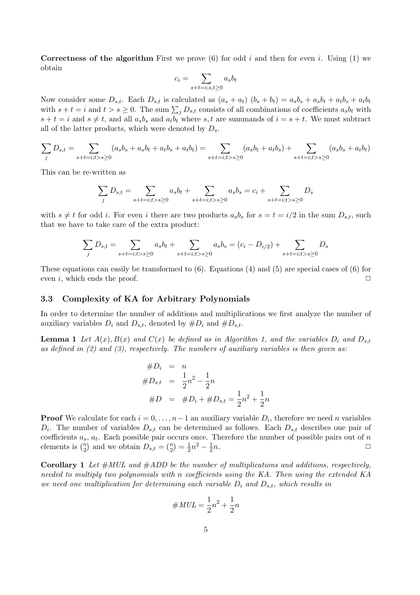**Correctness of the algorithm** First we prove (6) for odd i and then for even i. Using (1) we obtain  $\overline{\phantom{a}}$ 

$$
c_i = \sum_{s+t=i;s,t\geq 0} a_s b_t
$$

Now consider some  $D_{s,t}$ . Each  $D_{s,t}$  is calculated as  $(a_s + a_t)$   $(b_s + b_t) = a_s b_s + a_s b_t + a_t b_s + a_t b_t$ with  $s + t = i$  and  $t > s \ge 0$ . The sum  $\sum_j D_{s,t}$  consists of all combinations of coefficients  $a_s b_t$  with  $s + t = i$  and  $s \neq t$ , and all  $a_s b_s$  and  $a_t b_t$  where s, t are summands of  $i = s + t$ . We must subtract all of the latter products, which were denoted by  $D_s$ .

$$
\sum_{j} D_{s,t} = \sum_{s+t=i; t>s \ge 0} (a_s b_s + a_s b_t + a_t b_s + a_t b_t) = \sum_{s+t=i; t>s \ge 0} (a_s b_t + a_t b_s) + \sum_{s+t=i; t>s \ge 0} (a_s b_s + a_t b_t)
$$

This can be re-written as

$$
\sum_{j} D_{s,t} = \sum_{s+t=i; t>s \ge 0} a_s b_t + \sum_{s+t=i; t>s \ge 0} a_s b_s = c_i + \sum_{s+t=i; t>s \ge 0} D_s
$$

with  $s \neq t$  for odd i. For even i there are two products  $a_s b_s$  for  $s = t = i/2$  in the sum  $D_{s,t}$ , such that we have to take care of the extra product:

$$
\sum_{j} D_{s,t} = \sum_{s+t=i; t>s \ge 0} a_s b_t + \sum_{s+t=i; t>s \ge 0} a_s b_s = (c_i - D_{i/2}) + \sum_{s+t=i; t>s \ge 0} D_s
$$

These equations can easily be transformed to  $(6)$ . Equations  $(4)$  and  $(5)$  are special cases of  $(6)$  for even i, which ends the proof.  $\Box$ 

#### 3.3 Complexity of KA for Arbitrary Polynomials

In order to determine the number of additions and multiplications we first analyze the number of auxiliary variables  $D_i$  and  $D_{s,t}$ , denoted by  $\#D_i$  and  $\#D_{s,t}$ .

**Lemma 1** Let  $A(x), B(x)$  and  $C(x)$  be defined as in Algorithm 1, and the variables  $D_i$  and  $D_{s,t}$ as defined in  $(2)$  and  $(3)$ , respectively. The numbers of auxiliary variables is then given as:

$$
#D_i = n
$$
  
\n
$$
#D_{s,t} = \frac{1}{2}n^2 - \frac{1}{2}n
$$
  
\n
$$
#D = #D_i + #D_{s,t} = \frac{1}{2}n^2 + \frac{1}{2}n
$$

**Proof** We calculate for each  $i = 0, \ldots, n-1$  an auxiliary variable  $D_i$ , therefore we need n variables  $D_i$ . The number of variables  $D_{s,t}$  can be determined as follows. Each  $D_{s,t}$  describes one pair of coefficients  $a_s$ ,  $a_t$ . Each possible pair occurs once. Therefore the number of possible pairs out of n coencients  $a_s$ ,  $a_t$ . Each possible pair of elements is  $\binom{n}{2}$  and we obtain  $D_{s,t} = \binom{n}{2}$  $\binom{n}{2} = \frac{1}{2}$  $\frac{1}{2}n^2 - \frac{1}{2}$  $\overline{2}$  $n.$ 

**Corollary 1** Let  $#MUL$  and  $#ADD$  be the number of multiplications and additions, respectively, needed to multiply two polynomials with n coefficients using the KA. Then using the extended KA we need one multiplication for determining each variable  $D_i$  and  $D_{s,t}$ , which results in

$$
\#MUL = \frac{1}{2}n^2 + \frac{1}{2}n
$$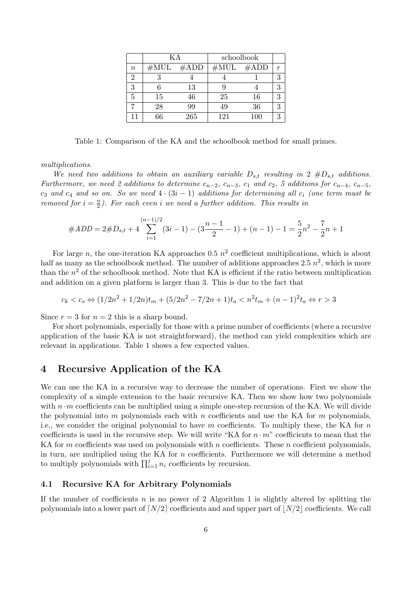|          | K A  |                  |     | schoolbook  |   |
|----------|------|------------------|-----|-------------|---|
| $\it{n}$ | #MUL | $\#\mathrm{ADD}$ |     | $#MUL$ #ADD | r |
| 2        |      |                  |     |             | 3 |
| 3        |      | 13               |     |             | 3 |
| 5        | 15   | 46               | 25  | 16          | 3 |
|          | 28   | 99               | 49  | 36          | 3 |
| 11       | 66   | 265              | 121 | 100         | 3 |

Table 1: Comparison of the KA and the schoolbook method for small primes.

multiplications.

We need two additions to obtain an auxiliary variable  $D_{s,t}$  resulting in 2  $\#D_{s,t}$  additions. Furthermore, we need 2 additions to determine  $c_{n-2}$ ,  $c_{n-3}$ ,  $c_1$  and  $c_2$ , 5 additions for  $c_{n-4}$ ,  $c_{n-5}$ , c<sub>3</sub> and c<sub>4</sub> and so on. So we need  $4 \cdot (3i - 1)$  additions for determining all c<sub>i</sub> (one term must be removed for  $i = \frac{n}{2}$  $\frac{n}{2}$ ). For each even i we need a further addition. This results in

$$
\#ADD = 2\#D_{s,t} + 4\sum_{i=1}^{(n-1)/2} (3i-1) - (3\frac{n-1}{2} - 1) + (n-1) - 1 = \frac{5}{2}n^2 - \frac{7}{2}n + 1
$$

For large n, the one-iteration KA approaches 0.5  $n^2$  coefficient multiplications, which is about half as many as the schoolbook method. The number of additions approaches 2.5  $n^2$ , which is more than the  $n^2$  of the schoolbook method. Note that KA is efficient if the ratio between multiplication and addition on a given platform is larger than 3. This is due to the fact that

$$
c_k < c_s \Leftrightarrow (1/2n^2 + 1/2n)t_m + (5/2n^2 - 7/2n + 1)t_a < n^2t_m + (n-1)^2t_a \Leftrightarrow r > 3
$$

Since  $r = 3$  for  $n = 2$  this is a sharp bound.

For short polynomials, especially for those with a prime number of coefficients (where a recursive application of the basic KA is not straightforward), the method can yield complexities which are relevant in applications. Table 1 shows a few expected values.

## 4 Recursive Application of the KA

We can use the KA in a recursive way to decrease the number of operations. First we show the complexity of a simple extension to the basic recursive KA. Then we show how two polynomials with  $n \cdot m$  coefficients can be multiplied using a simple one-step recursion of the KA. We will divide the polynomial into m polynomials each with n coefficients and use the KA for m polynomials, i.e., we consider the original polynomial to have m coefficients. To multiply these, the KA for n coefficients is used in the recursive step. We will write "KA for  $n \cdot m$ " coefficients to mean that the KA for m coefficients was used on polynomials with n coefficients. These n coefficient polynomials, in turn, are multiplied using the KA for  $n$  coefficients. Furthermore we will determine a method In turn, are multiplied using the RA for *n* coefficients. Furthermore, the multiply polynomials with  $\prod_{i=1}^{j} n_i$  coefficients by recursion.

## 4.1 Recursive KA for Arbitrary Polynomials

If the number of coefficients n is no power of 2 Algorithm 1 is slightly altered by splitting the polynomials into a lower part of  $\lceil N/2 \rceil$  coefficients and and upper part of  $\lceil N/2 \rceil$  coefficients. We call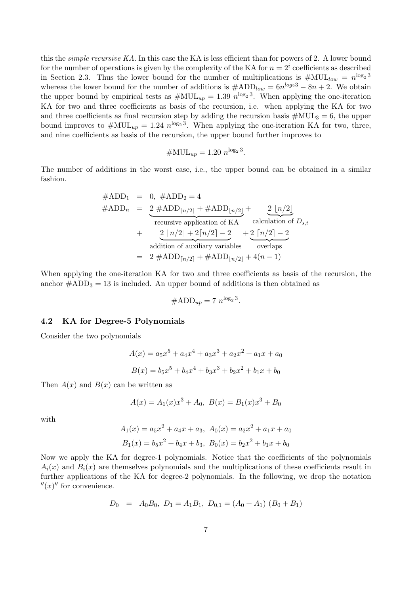this the *simple recursive KA*. In this case the KA is less efficient than for powers of 2. A lower bound for the number of operations is given by the complexity of the KA for  $n = 2<sup>i</sup>$  coefficients as described in Section 2.3. Thus the lower bound for the number of multiplications is  $\#\text{MUL}_{low} = n^{\log_2 3}$ whereas the lower bound for the number of additions is  $\#\text{ADD}_{low} = 6n^{\log_2 3} - 8n + 2$ . We obtain the upper bound by empirical tests as  $\#\text{MUL}_{up} = 1.39 n^{\log_2 3}$ . When applying the one-iteration KA for two and three coefficients as basis of the recursion, i.e. when applying the KA for two and three coefficients as final recursion step by adding the recursion basis  $\#\text{MUL}_3 = 6$ , the upper bound improves to  $\#\text{MUL}_{up} = 1.24 \; n^{\log_2 3}$ . When applying the one-iteration KA for two, three, and nine coefficients as basis of the recursion, the upper bound further improves to

$$
\#\text{MUL}_{up} = 1.20 n^{\log_2 3}.
$$

The number of additions in the worst case, i.e., the upper bound can be obtained in a similar fashion.

$$
#ADD_1 = 0, #ADD_2 = 4
$$
  
\n
$$
#ADD_n = 2 #ADD_{\lceil n/2 \rceil} + #ADD_{\lfloor n/2 \rfloor} + 2 \lfloor n/2 \rfloor
$$
  
\nrecursive application of KA calculation of  $D_{s,t}$   
\n
$$
+ 2 \lfloor n/2 \rfloor + 2 \lceil n/2 \rceil - 2 + 2 \lceil n/2 \rceil - 2
$$
  
\naddition of auxiliary variables overlaps  
\n
$$
= 2 #ADD_{\lceil n/2 \rceil} + #ADD_{\lfloor n/2 \rfloor} + 4(n - 1)
$$

When applying the one-iteration KA for two and three coefficients as basis of the recursion, the anchor  $\#\text{ADD}_3 = 13$  is included. An upper bound of additions is then obtained as

$$
\#\text{ADD}_{up} = 7 \ n^{\log_2 3}.
$$

## 4.2 KA for Degree-5 Polynomials

Consider the two polynomials

$$
A(x) = a_5x^5 + a_4x^4 + a_3x^3 + a_2x^2 + a_1x + a_0
$$
  

$$
B(x) = b_5x^5 + b_4x^4 + b_3x^3 + b_2x^2 + b_1x + b_0
$$

Then  $A(x)$  and  $B(x)$  can be written as

$$
A(x) = A_1(x)x^3 + A_0, B(x) = B_1(x)x^3 + B_0
$$

with

$$
A_1(x) = a_5x^2 + a_4x + a_3, A_0(x) = a_2x^2 + a_1x + a_0
$$
  

$$
B_1(x) = b_5x^2 + b_4x + b_3, B_0(x) = b_2x^2 + b_1x + b_0
$$

Now we apply the KA for degree-1 polynomials. Notice that the coefficients of the polynomials  $A_i(x)$  and  $B_i(x)$  are themselves polynomials and the multiplications of these coefficients result in further applications of the KA for degree-2 polynomials. In the following, we drop the notation  $''(x)''$  for convenience.

$$
D_0 = A_0 B_0, D_1 = A_1 B_1, D_{0,1} = (A_0 + A_1) (B_0 + B_1)
$$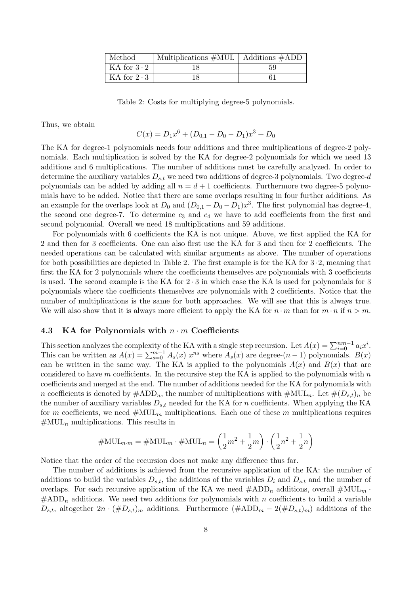| Method             | Multiplications $\#\text{MUL}$   Additions $\#\text{ADD}$ |    |
|--------------------|-----------------------------------------------------------|----|
| KA for $3 \cdot 2$ |                                                           | 59 |
| KA for $2 \cdot 3$ |                                                           |    |

Table 2: Costs for multiplying degree-5 polynomials.

Thus, we obtain

$$
C(x) = D_1 x^6 + (D_{0,1} - D_0 - D_1) x^3 + D_0
$$

The KA for degree-1 polynomials needs four additions and three multiplications of degree-2 polynomials. Each multiplication is solved by the KA for degree-2 polynomials for which we need 13 additions and 6 multiplications. The number of additions must be carefully analyzed. In order to determine the auxiliary variables  $D_{s,t}$  we need two additions of degree-3 polynomials. Two degree-d polynomials can be added by adding all  $n = d + 1$  coefficients. Furthermore two degree-5 polynomials have to be added. Notice that there are some overlaps resulting in four further additions. As an example for the overlaps look at  $D_0$  and  $(D_{0,1} - D_0 - D_1)x^3$ . The first polynomial has degree-4, the second one degree-7. To determine  $c_3$  and  $c_4$  we have to add coefficients from the first and second polynomial. Overall we need 18 multiplications and 59 additions.

For polynomials with 6 coefficients the KA is not unique. Above, we first applied the KA for 2 and then for 3 coefficients. One can also first use the KA for 3 and then for 2 coefficients. The needed operations can be calculated with similar arguments as above. The number of operations for both possibilities are depicted in Table 2. The first example is for the KA for  $3 \cdot 2$ , meaning that first the KA for 2 polynomials where the coefficients themselves are polynomials with 3 coefficients is used. The second example is the KA for  $2 \cdot 3$  in which case the KA is used for polynomials for 3 polynomials where the coefficients themselves are polynomials with 2 coefficients. Notice that the number of multiplications is the same for both approaches. We will see that this is always true. We will also show that it is always more efficient to apply the KA for  $n \cdot m$  than for  $m \cdot n$  if  $n > m$ .

#### 4.3 KA for Polynomials with  $n \cdot m$  Coefficients

This section analyzes the complexity of the KA with a single step recursion. Let  $A(x) = \sum_{i=0}^{nm-1} a_i x^i$ .<br>This can be written as  $A(x) = \sum_{s=0}^{m-1} A_s(x) x^{ns}$  where  $A_s(x)$  are degree- $(n-1)$  polynomials.  $B(x)$ can be written in the same way. The KA is applied to the polynomials  $A(x)$  and  $B(x)$  that are considered to have m coefficients. In the recursive step the KA is applied to the polynomials with  $n$ coefficients and merged at the end. The number of additions needed for the KA for polynomials with n coefficients is denoted by  $\#\text{ADD}_n$ , the number of multiplications with  $\#\text{MUL}_n$ . Let  $\#(D_{s,t})_n$  be the number of auxiliary variables  $D_{s,t}$  needed for the KA for n coefficients. When applying the KA for m coefficients, we need  $\#\text{MUL}_m$  multiplications. Each one of these m multiplications requires  $\#\text{MUL}_n$  multiplications. This results in

#MULn·<sup>m</sup> = #MUL<sup>m</sup> · #MUL<sup>n</sup> = µ 1 2 m<sup>2</sup> + 1 2 m ¶ · µ 1 2 n <sup>2</sup> + 1 2 n ¶

Notice that the order of the recursion does not make any difference thus far.

The number of additions is achieved from the recursive application of the KA: the number of additions to build the variables  $D_{s,t}$ , the additions of the variables  $D_i$  and  $D_{s,t}$  and the number of overlaps. For each recursive application of the KA we need  $\#\text{ADD}_n$  additions, overall  $\#\text{MUL}_m$ .  $#ADD_n$  additions. We need two additions for polynomials with n coefficients to build a variable  $D_{s,t}$ , altogether  $2n \cdot (\#D_{s,t})_m$  additions. Furthermore  $(\#ADD_m - 2(\#D_{s,t})_m)$  additions of the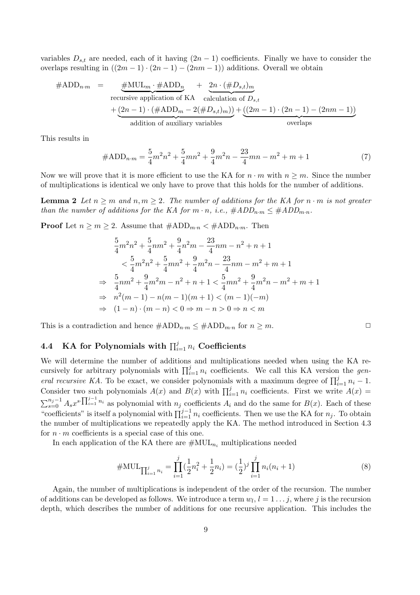variables  $D_{s,t}$  are needed, each of it having  $(2n-1)$  coefficients. Finally we have to consider the overlaps resulting in  $((2m-1) \cdot (2n-1) - (2nm-1))$  additions. Overall we obtain

$$
#ADD_{n\cdot m} = \underbrace{\#MUL_m \cdot #ADD_n}_{\text{recursive application of KA calculation of } D_{s,t}} + \underbrace{2n \cdot (\#D_{s,t})_m}_{\text{calculation of } D_{s,t}} + \underbrace{(2n-1) \cdot (\#ADD_m - 2(\#D_{s,t})_m))}_{\text{addition of auxiliary variables}} + \underbrace{((2m-1) \cdot (2n-1) - (2nm-1))}_{\text{overings}}
$$

This results in

$$
\#ADD_{n\cdot m} = \frac{5}{4}m^2n^2 + \frac{5}{4}mn^2 + \frac{9}{4}m^2n - \frac{23}{4}mn - m^2 + m + 1\tag{7}
$$

Now we will prove that it is more efficient to use the KA for  $n \cdot m$  with  $n \geq m$ . Since the number of multiplications is identical we only have to prove that this holds for the number of additions.

**Lemma 2** Let  $n \ge m$  and  $n, m \ge 2$ . The number of additions for the KA for  $n \cdot m$  is not greater than the number of additions for the KA for  $m \cdot n$ , i.e.,  $\#ADD_{n \cdot m} \leq \#ADD_{m \cdot n}$ .

**Proof** Let  $n \ge m \ge 2$ . Assume that  $\#\text{ADD}_{m \cdot n} < \#\text{ADD}_{n \cdot m}$ . Then

$$
\frac{5}{4}m^2n^2 + \frac{5}{4}nm^2 + \frac{9}{4}n^2m - \frac{23}{4}nm - n^2 + n + 1
$$
  

$$
< \frac{5}{4}m^2n^2 + \frac{5}{4}mn^2 + \frac{9}{4}m^2n - \frac{23}{4}nm - m^2 + m + 1
$$
  

$$
\Rightarrow \frac{5}{4}nm^2 + \frac{9}{4}m^2m - n^2 + n + 1 < \frac{5}{4}mn^2 + \frac{9}{4}m^2n - m^2 + m + 1
$$
  

$$
\Rightarrow n^2(m-1) - n(m-1)(m+1) < (m-1)(-m)
$$
  

$$
\Rightarrow (1-n) \cdot (m-n) < 0 \Rightarrow m-n > 0 \Rightarrow n < m
$$

This is a contradiction and hence  $\#\text{ADD}_{n \cdot m} \leq \#\text{ADD}_{m \cdot n}$  for  $n \geq m$ .

# 4.4 KA for Polynomials with  $\prod_{i=1}^{j} n_i$  Coefficients

We will determine the number of additions and multiplications needed when using the KA rewe will determine the number of additions and indirepleations needed when using the KA respectively for arbitrary polynomials with  $\prod_{i=1}^{j} n_i$  coefficients. We call this KA version the *gen*eral recursive KA. To be exact, we consider polynomials with a maximum degree of  $\prod_{i=1}^{j} n_i - 1$ . Consider two such polynomials  $A(x)$  and  $B(x)$  with  $\prod_{i=1}^{j} n_i$  coefficients. First we write  $A(x) =$  $\sum_{s=0}^{n_j-1} A_s x^{s} \prod_{i=1}^{j-1} n_i$  as polynomial with  $n_j$  coefficients  $A_i$  and do the same for  $B(x)$ . Each of these  $\sum_{s=0}^{1} \frac{1}{1+s}$  is itself a polynomial with  $\prod_{i=1}^{j-1} n_i$  coefficients. Then we use the KA for  $n_j$ . To obtain the number of multiplications we repeatedly apply the KA. The method introduced in Section 4.3 for  $n \cdot m$  coefficients is a special case of this one.

In each application of the KA there are  $\#\text{MUL}_{n_i}$  multiplications needed

#MULQ<sup>j</sup> <sup>i</sup>=1 n<sup>i</sup> = Y j i=1 ( 1 2 n 2 <sup>i</sup> + 1 2 <sup>n</sup>i) = (<sup>1</sup> 2 ) <sup>j</sup> <sup>Y</sup> j i=1 ni(n<sup>i</sup> + 1) (8)

Again, the number of multiplications is independent of the order of the recursion. The number of additions can be developed as follows. We introduce a term  $w_l$ ,  $l = 1 \ldots j$ , where j is the recursion depth, which describes the number of additions for one recursive application. This includes the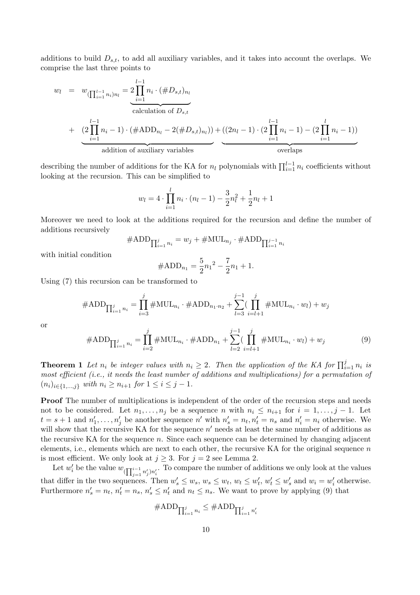additions to build  $D_{s,t}$ , to add all auxiliary variables, and it takes into account the overlaps. We comprise the last three points to

$$
w_l = w_{(\prod_{i=1}^{l-1} n_i) n_l} = 2 \prod_{i=1}^{l-1} n_i \cdot (\# D_{s,t})_{n_l}
$$
  
\ncalculation of  $D_{s,t}$   
\n
$$
+ (2 \prod_{i=1}^{l-1} n_i - 1) \cdot (\# ADD_{n_l} - 2(\# D_{s,t})_{n_l})) + ((2n_l - 1) \cdot (2 \prod_{i=1}^{l-1} n_i - 1) - (2 \prod_{i=1}^{l} n_i - 1))
$$
  
\naddition of auxiliary variables  
\noverlaps

describing the number of additions for the KA for  $n_l$  polynomials with  $\prod_{i=1}^{l-1} n_i$  coefficients without looking at the recursion. This can be simplified to

$$
w_l = 4 \cdot \prod_{i=1}^l n_i \cdot (n_l - 1) - \frac{3}{2} n_l^2 + \frac{1}{2} n_l + 1
$$

Moreover we need to look at the additions required for the recursion and define the number of additions recursively

$$
\#\text{ADD}_{\prod_{i=1}^j n_i}=w_j+\#\text{MUL}_{n_j}\cdot\#\text{ADD}_{\prod_{i=1}^{j-1} n_i}
$$

with initial condition

$$
\#ADD_{n_1} = \frac{5}{2}n_1^2 - \frac{7}{2}n_1 + 1.
$$

Using (7) this recursion can be transformed to

#ADDQ<sup>j</sup> <sup>i</sup>=1 n<sup>i</sup> = Y j i=3 #MULn<sup>i</sup> · #ADDn1·n<sup>2</sup> + j X−<sup>1</sup> l=3 ( Y j i=l+1 #MULn<sup>i</sup> · wl) + w<sup>j</sup>

or

$$
#ADD_{\prod_{i=1}^{j} n_i} = \prod_{i=2}^{j} #MUL_{n_i} \cdot #ADD_{n_1} + \sum_{l=2}^{j-1} (\prod_{i=l+1}^{j} #MUL_{n_i} \cdot w_l) + w_j
$$
(9)

**Theorem 1** Let  $n_i$  be integer values with  $n_i \geq 2$ . Then the application of the KA for  $\prod_{i=1}^{j} n_i$  is most efficient (i.e., it needs the least number of additions and multiplications) for a permutation of  $(n_i)_{i \in \{1,...,j\}}$  with  $n_i \geq n_{i+1}$  for  $1 \leq i \leq j-1$ .

Proof The number of multiplications is independent of the order of the recursion steps and needs not to be considered. Let  $n_1, \ldots, n_j$  be a sequence n with  $n_i \leq n_{i+1}$  for  $i = 1, \ldots, j-1$ . Let  $t = s + 1$  and  $n'_1, \ldots, n'_j$  be another sequence  $n'$  with  $n'_s = n_t, n'_t = n_s$  and  $n'_i = n_i$  otherwise. We will show that the recursive KA for the sequence  $n'$  needs at least the same number of additions as the recursive KA for the sequence  $n$ . Since each sequence can be determined by changing adjacent elements, i.e., elements which are next to each other, the recursive KA for the original sequence  $n$ is most efficient. We only look at  $j \geq 3$ . For  $j = 2$  see Lemma 2.

Let  $w'_i$  be the value  $w_{(\prod_{i=1}^{i-1}$  $\sum_{j=1}^{i-1} n'_j n'_i$ . To compare the number of additions we only look at the values that differ in the two sequences. Then  $w'_s \leq w_s$ ,  $w_s \leq w_t$ ,  $w_t \leq w'_t$ ,  $w'_t \leq w'_s$  and  $w_i = w'_i$  otherwise. Furthermore  $n'_s = n_t$ ,  $n'_t = n_s$ ,  $n'_s \leq n'_t$  and  $n_t \leq n_s$ . We want to prove by applying (9) that

$$
\#\text{ADD}_{\prod_{i=1}^j n_i} \leq \#\text{ADD}_{\prod_{i=1}^j n'_i}
$$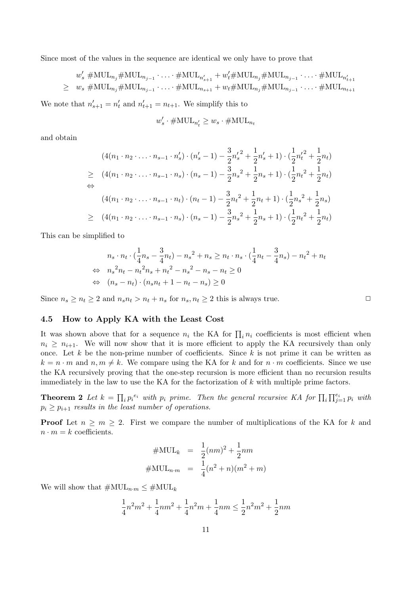Since most of the values in the sequence are identical we only have to prove that

$$
w'_{s} \# \text{MUL}_{n_{j}} \# \text{MUL}_{n_{j-1}} \cdot \ldots \cdot \# \text{MUL}_{n'_{s+1}} + w'_{t} \# \text{MUL}_{n_{j}} \# \text{MUL}_{n_{j-1}} \cdot \ldots \cdot \# \text{MUL}_{n'_{t+1}}
$$
  
\n
$$
\geq w_{s} \# \text{MUL}_{n_{j}} \# \text{MUL}_{n_{j-1}} \cdot \ldots \cdot \# \text{MUL}_{n_{s+1}} + w_{t} \# \text{MUL}_{n_{j}} \# \text{MUL}_{n_{j-1}} \cdot \ldots \cdot \# \text{MUL}_{n_{t+1}}
$$

We note that  $n'_{s+1} = n'_{t}$  and  $n'_{t+1} = n_{t+1}$ . We simplify this to

$$
w'_s \cdot \# \text{MUL}_{n'_t} \geq w_s \cdot \# \text{MUL}_{n_t}
$$

and obtain

$$
(4(n_1 \cdot n_2 \cdot \ldots \cdot n_{s-1} \cdot n'_s) \cdot (n'_s - 1) - \frac{3}{2}n'_s{}^2 + \frac{1}{2}n'_s + 1) \cdot (\frac{1}{2}n'_t{}^2 + \frac{1}{2}n_t)
$$
  
\n
$$
\geq (4(n_1 \cdot n_2 \cdot \ldots \cdot n_{s-1} \cdot n_s) \cdot (n_s - 1) - \frac{3}{2}n_s{}^2 + \frac{1}{2}n_s + 1) \cdot (\frac{1}{2}n_t{}^2 + \frac{1}{2}n_t)
$$
  
\n
$$
\Leftrightarrow (4(n_1 \cdot n_2 \cdot \ldots \cdot n_{s-1} \cdot n_t) \cdot (n_t - 1) - \frac{3}{2}n_t{}^2 + \frac{1}{2}n_t + 1) \cdot (\frac{1}{2}n_s{}^2 + \frac{1}{2}n_s)
$$
  
\n
$$
\geq (4(n_1 \cdot n_2 \cdot \ldots \cdot n_{s-1} \cdot n_s) \cdot (n_s - 1) - \frac{3}{2}n_s{}^2 + \frac{1}{2}n_s + 1) \cdot (\frac{1}{2}n_t{}^2 + \frac{1}{2}n_t)
$$

This can be simplified to

$$
n_s \cdot n_t \cdot (\frac{1}{4}n_s - \frac{3}{4}n_t) - n_s^2 + n_s \ge n_t \cdot n_s \cdot (\frac{1}{4}n_t - \frac{3}{4}n_s) - n_t^2 + n_t
$$
  
\n
$$
\Leftrightarrow n_s^2 n_t - n_t^2 n_s + n_t^2 - n_s^2 - n_s - n_t \ge 0
$$
  
\n
$$
\Leftrightarrow (n_s - n_t) \cdot (n_s n_t + 1 - n_t - n_s) \ge 0
$$

Since  $n_s \geq n_t \geq 2$  and  $n_s n_t > n_t + n_s$  for  $n_s, n_t \geq 2$  this is always true.

#### 4.5 How to Apply KA with the Least Cost

It was shown above that for a sequence  $n_i$  the KA for  $\prod_i n_i$  coefficients is most efficient when  $n_i \geq n_{i+1}$ . We will now show that it is more efficient to apply the KA recursively than only once. Let k be the non-prime number of coefficients. Since k is not prime it can be written as  $k = n \cdot m$  and  $n, m \neq k$ . We compare using the KA for k and for  $n \cdot m$  coefficients. Since we use the KA recursively proving that the one-step recursion is more efficient than no recursion results immediately in the law to use the KA for the factorization of  $k$  with multiple prime factors.

Theorem 2 Let  $k = \prod$  $i\, p_i^{\,e_i}$  with  $p_i$  prime. Then the general recursive KA for  $\prod_i \prod_{j=1}^{e_i} p_i$  with  $p_i \geq p_{i+1}$  results in the least number of operations.

**Proof** Let  $n \geq m \geq 2$ . First we compare the number of multiplications of the KA for k and  $n \cdot m = k$  coefficients.

$$
\# \text{MUL}_k = \frac{1}{2}(nm)^2 + \frac{1}{2}nm
$$

$$
\# \text{MUL}_{n \cdot m} = \frac{1}{4}(n^2 + n)(m^2 + m)
$$

We will show that  $\#\text{MUL}_{n\cdot m} \leq \#\text{MUL}_k$ 

$$
\frac{1}{4}n^2m^2 + \frac{1}{4}nm^2 + \frac{1}{4}n^2m + \frac{1}{4}nm \le \frac{1}{2}n^2m^2 + \frac{1}{2}nm
$$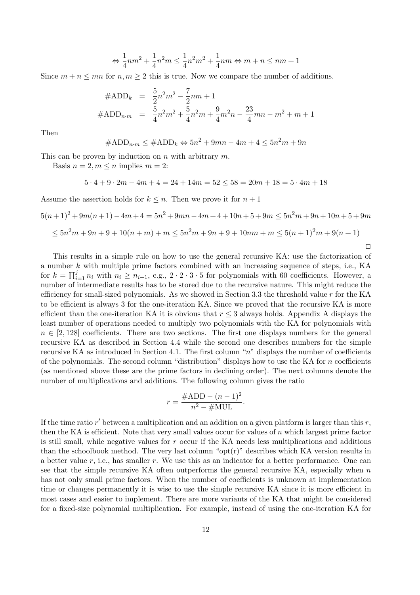$$
\Leftrightarrow \frac{1}{4}nm^2+\frac{1}{4}n^2m\leq \frac{1}{4}n^2m^2+\frac{1}{4}nm\Leftrightarrow m+n\leq nm+1
$$

Since  $m + n \leq mn$  for  $n, m \geq 2$  this is true. Now we compare the number of additions.

$$
#ADD_k = \frac{5}{2}n^2m^2 - \frac{7}{2}nm + 1
$$
  

$$
#ADD_{n \cdot m} = \frac{5}{4}n^2m^2 + \frac{5}{4}n^2m + \frac{9}{4}m^2n - \frac{23}{4}mn - m^2 + m + 1
$$

Then

$$
\#ADD_{n\cdot m} \leq \#ADD_k \Leftrightarrow 5n^2 + 9mn - 4m + 4 \leq 5n^2m + 9n
$$

This can be proven by induction on n with arbitrary  $m$ .

Basis  $n = 2, m \leq n$  implies  $m = 2$ :

$$
5 \cdot 4 + 9 \cdot 2m - 4m + 4 = 24 + 14m = 52 \le 58 = 20m + 18 = 5 \cdot 4m + 18
$$

Assume the assertion holds for  $k \leq n$ . Then we prove it for  $n+1$ 

$$
5(n+1)^2 + 9m(n+1) - 4m + 4 = 5n^2 + 9mn - 4m + 4 + 10n + 5 + 9m \le 5n^2m + 9n + 10n + 5 + 9m
$$
  

$$
\le 5n^2m + 9n + 9 + 10(n+m) + m \le 5n^2m + 9n + 9 + 10nm + m \le 5(n+1)^2m + 9(n+1)
$$

 $\Box$ 

This results in a simple rule on how to use the general recursive KA: use the factorization of a number k with multiple prime factors combined with an increasing sequence of steps, i.e., KA for  $k = \prod_{i=1}^{j} n_i$  with  $n_i \ge n_{i+1}$ , e.g.,  $2 \cdot 2 \cdot 3 \cdot 5$  for polynomials with 60 coefficients. However, a number of intermediate results has to be stored due to the recursive nature. This might reduce the efficiency for small-sized polynomials. As we showed in Section 3.3 the threshold value  $r$  for the KA to be efficient is always 3 for the one-iteration KA. Since we proved that the recursive KA is more efficient than the one-iteration KA it is obvious that  $r \leq 3$  always holds. Appendix A displays the least number of operations needed to multiply two polynomials with the KA for polynomials with  $n \in [2, 128]$  coefficients. There are two sections. The first one displays numbers for the general recursive KA as described in Section 4.4 while the second one describes numbers for the simple recursive KA as introduced in Section 4.1. The first column "n" displays the number of coefficients of the polynomials. The second column "distribution" displays how to use the KA for  $n$  coefficients (as mentioned above these are the prime factors in declining order). The next columns denote the number of multiplications and additions. The following column gives the ratio

$$
r = \frac{\text{\#ADD} - (n-1)^2}{n^2 - \text{\#MUL}}.
$$

If the time ratio  $r'$  between a multiplication and an addition on a given platform is larger than this  $r$ , then the KA is efficient. Note that very small values occur for values of  $n$  which largest prime factor is still small, while negative values for  $r$  occur if the KA needs less multiplications and additions than the schoolbook method. The very last column " $opt(r)$ " describes which KA version results in a better value  $r$ , i.e., has smaller  $r$ . We use this as an indicator for a better performance. One can see that the simple recursive KA often outperforms the general recursive KA, especially when  $n$ has not only small prime factors. When the number of coefficients is unknown at implementation time or changes permanently it is wise to use the simple recursive KA since it is more efficient in most cases and easier to implement. There are more variants of the KA that might be considered for a fixed-size polynomial multiplication. For example, instead of using the one-iteration KA for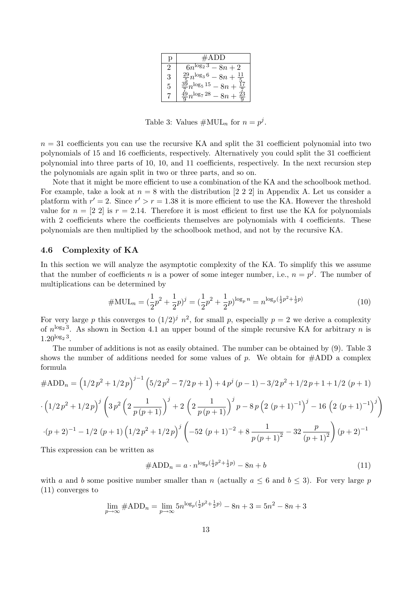|   | #ADD                                   |
|---|----------------------------------------|
|   | $\sqrt{6n^{\log_2 3} - 8n + 2}$        |
| З | $\frac{29}{5}n^{\log_3 6} - 8n +$      |
| 5 | $\frac{39}{5}n^{\log_5 15} - 8n$       |
|   | $\frac{49}{8}n^{\log_7 28} - 8n$<br>25 |

Table 3: Values  $\#\text{MUL}_n$  for  $n = p^j$ .

 $n = 31$  coefficients you can use the recursive KA and split the 31 coefficient polynomial into two polynomials of 15 and 16 coefficients, respectively. Alternatively you could split the 31 coefficient polynomial into three parts of 10, 10, and 11 coefficients, respectively. In the next recursion step the polynomials are again split in two or three parts, and so on.

Note that it might be more efficient to use a combination of the KA and the schoolbook method. For example, take a look at  $n = 8$  with the distribution [2 2 2] in Appendix A. Let us consider a platform with  $r' = 2$ . Since  $r' > r = 1.38$  it is more efficient to use the KA. However the threshold value for  $n = \lfloor 2 \rfloor$  is  $r = 2.14$ . Therefore it is most efficient to first use the KA for polynomials with 2 coefficients where the coefficients themselves are polynomials with 4 coefficients. These polynomials are then multiplied by the schoolbook method, and not by the recursive KA.

#### 4.6 Complexity of KA

In this section we will analyze the asymptotic complexity of the KA. To simplify this we assume that the number of coefficients n is a power of some integer number, i.e.,  $n = p<sup>j</sup>$ . The number of multiplications can be determined by

$$
\# \text{MUL}_n = (\frac{1}{2}p^2 + \frac{1}{2}p)^j = (\frac{1}{2}p^2 + \frac{1}{2}p)^{\log_p n} = n^{\log_p(\frac{1}{2}p^2 + \frac{1}{2}p)}\tag{10}
$$

For very large p this converges to  $(1/2)^j$   $n^2$ , for small p, especially  $p = 2$  we derive a complexity of  $n^{\log_2 3}$ . As shown in Section 4.1 an upper bound of the simple recursive KA for arbitrary n is  $1.20^{\log_2 3}$ .

The number of additions is not as easily obtained. The number can be obtained by (9). Table 3 shows the number of additions needed for some values of p. We obtain for  $\#\text{ADD}$  a complex formula

$$
\#ADD_n = (1/2p^2 + 1/2p)^{j-1} (5/2p^2 - 7/2p + 1) + 4p^j (p - 1) - 3/2p^2 + 1/2p + 1 + 1/2 (p + 1)
$$

$$
\cdot (1/2p^2 + 1/2p)^j \left(3p^2 \left(2\frac{1}{p(p+1)}\right)^j + 2\left(2\frac{1}{p(p+1)}\right)^j p - 8p \left(2(p+1)^{-1}\right)^j - 16\left(2(p+1)^{-1}\right)^j\right)
$$

$$
\cdot (p+2)^{-1} - 1/2 (p+1) \left(1/2p^2 + 1/2p\right)^j \left(-52(p+1)^{-2} + 8\frac{1}{p(p+1)^2} - 32\frac{p}{(p+1)^2}\right)(p+2)^{-1}
$$

This expression can be written as

$$
\#ADD_n = a \cdot n^{\log_p(\frac{1}{2}p^2 + \frac{1}{2}p)} - 8n + b \tag{11}
$$

with a and b some positive number smaller than n (actually  $a \leq 6$  and  $b \leq 3$ ). For very large p (11) converges to

$$
\lim_{p \to \infty} \#ADD_n = \lim_{p \to \infty} 5n^{\log_p(\frac{1}{2}p^2 + \frac{1}{2}p)} - 8n + 3 = 5n^2 - 8n + 3
$$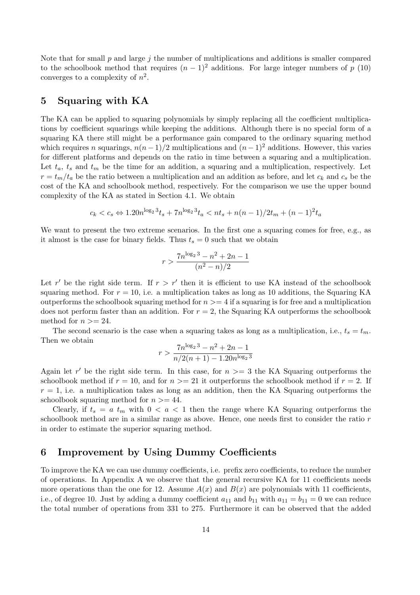Note that for small  $p$  and large  $j$  the number of multiplications and additions is smaller compared to the schoolbook method that requires  $(n-1)^2$  additions. For large integer numbers of p (10) converges to a complexity of  $n^2$ .

## 5 Squaring with KA

The KA can be applied to squaring polynomials by simply replacing all the coefficient multiplications by coefficient squarings while keeping the additions. Although there is no special form of a squaring KA there still might be a performance gain compared to the ordinary squaring method which requires n squarings,  $n(n-1)/2$  multiplications and  $(n-1)^2$  additions. However, this varies for different platforms and depends on the ratio in time between a squaring and a multiplication. Let  $t_a$ ,  $t_s$  and  $t_m$  be the time for an addition, a squaring and a multiplication, respectively. Let  $r = t_m/t_a$  be the ratio between a multiplication and an addition as before, and let  $c_k$  and  $c_s$  be the cost of the KA and schoolbook method, respectively. For the comparison we use the upper bound complexity of the KA as stated in Section 4.1. We obtain

$$
c_k < c_s \Leftrightarrow 1.20n^{\log_2 3} t_s + 7n^{\log_2 3} t_a < nt_s + n(n-1)/2t_m + (n-1)^2 t_a
$$

We want to present the two extreme scenarios. In the first one a squaring comes for free, e.g., as it almost is the case for binary fields. Thus  $t_s = 0$  such that we obtain

$$
r > \frac{7n^{\log_2 3} - n^2 + 2n - 1}{(n^2 - n)/2}
$$

Let r' be the right side term. If  $r > r'$  then it is efficient to use KA instead of the schoolbook squaring method. For  $r = 10$ , i.e. a multiplication takes as long as 10 additions, the Squaring KA outperforms the schoolbook squaring method for  $n \geq 4$  if a squaring is for free and a multiplication does not perform faster than an addition. For  $r = 2$ , the Squaring KA outperforms the schoolbook method for  $n >= 24$ .

The second scenario is the case when a squaring takes as long as a multiplication, i.e.,  $t_s = t_m$ . Then we obtain

$$
r > \frac{7n^{\log_2 3} - n^2 + 2n - 1}{n/2(n+1) - 1.20n^{\log_2 3}}
$$

Again let r' be the right side term. In this case, for  $n \geq 3$  the KA Squaring outperforms the schoolbook method if  $r = 10$ , and for  $n \geq 21$  it outperforms the schoolbook method if  $r = 2$ . If  $r = 1$ , i.e. a multiplication takes as long as an addition, then the KA Squaring outperforms the schoolbook squaring method for  $n > = 44$ .

Clearly, if  $t_s = a t_m$  with  $0 < a < 1$  then the range where KA Squaring outperforms the schoolbook method are in a similar range as above. Hence, one needs first to consider the ratio r in order to estimate the superior squaring method.

## 6 Improvement by Using Dummy Coefficients

To improve the KA we can use dummy coefficients, i.e. prefix zero coefficients, to reduce the number of operations. In Appendix A we observe that the general recursive KA for 11 coefficients needs more operations than the one for 12. Assume  $A(x)$  and  $B(x)$  are polynomials with 11 coefficients, i.e., of degree 10. Just by adding a dummy coefficient  $a_{11}$  and  $b_{11}$  with  $a_{11} = b_{11} = 0$  we can reduce the total number of operations from 331 to 275. Furthermore it can be observed that the added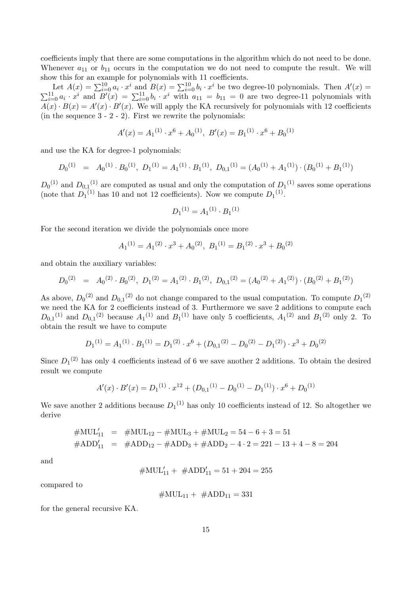coefficients imply that there are some computations in the algorithm which do not need to be done. Whenever  $a_{11}$  or  $b_{11}$  occurs in the computation we do not need to compute the result. We will show this for an example for polynomials with 11 coefficients.

Let  $A(x) = \sum_{i=0}^{10} a_i \cdot x^i$  and  $B(x) = \sum_{i=0}^{10} b_i \cdot x^i$  be two degree-10 polynomials. Then  $A'(x) =$  $\sum_{i=0}^{11} a_i \cdot x^i$  and  $B'(x) = \sum_{i=0}^{11} b_i \cdot x^i$  with  $a_{11} = b_{11} = 0$  are two degree-11 polynomials with  $A(x) \cdot B(x) = A'(x) \cdot B'(x)$ . We will apply the KA recursively for polynomials with 12 coefficients (in the sequence  $3 - 2 - 2$ ). First we rewrite the polynomials:

$$
A'(x) = A_1^{(1)} \cdot x^6 + A_0^{(1)}, \ B'(x) = B_1^{(1)} \cdot x^6 + B_0^{(1)}
$$

and use the KA for degree-1 polynomials:

$$
D_0^{(1)} = A_0^{(1)} \cdot B_0^{(1)}, \ D_1^{(1)} = A_1^{(1)} \cdot B_1^{(1)}, \ D_{0,1}^{(1)} = (A_0^{(1)} + A_1^{(1)}) \cdot (B_0^{(1)} + B_1^{(1)})
$$

 $D_0^{(1)}$  and  $D_{0,1}^{(1)}$  are computed as usual and only the computation of  $D_1^{(1)}$  saves some operations (note that  $D_1^{(1)}$  has 10 and not 12 coefficients). Now we compute  $D_1^{(1)}$ .

$$
D_1^{(1)} = A_1^{(1)} \cdot B_1^{(1)}
$$

For the second iteration we divide the polynomials once more

$$
A_1^{(1)} = A_1^{(2)} \cdot x^3 + A_0^{(2)}, B_1^{(1)} = B_1^{(2)} \cdot x^3 + B_0^{(2)}
$$

and obtain the auxiliary variables:

$$
D_0^{(2)} = A_0^{(2)} \cdot B_0^{(2)}, \ D_1^{(2)} = A_1^{(2)} \cdot B_1^{(2)}, \ D_{0,1}^{(2)} = (A_0^{(2)} + A_1^{(2)}) \cdot (B_0^{(2)} + B_1^{(2)})
$$

As above,  $D_0^{(2)}$  and  $D_{0,1}^{(2)}$  do not change compared to the usual computation. To compute  $D_1^{(2)}$ we need the KA for 2 coefficients instead of 3. Furthermore we save 2 additions to compute each  $D_{0,1}^{(1)}$  and  $D_{0,1}^{(2)}$  because  $A_1^{(1)}$  and  $B_1^{(1)}$  have only 5 coefficients,  $A_1^{(2)}$  and  $B_1^{(2)}$  only 2. To obtain the result we have to compute

$$
D_1^{(1)} = A_1^{(1)} \cdot B_1^{(1)} = D_1^{(2)} \cdot x^6 + (D_{0,1}^{(2)} - D_0^{(2)} - D_1^{(2)}) \cdot x^3 + D_0^{(2)}
$$

Since  $D_1<sup>(2)</sup>$  has only 4 coefficients instead of 6 we save another 2 additions. To obtain the desired result we compute

$$
A'(x) \cdot B'(x) = D_1^{(1)} \cdot x^{12} + (D_{0,1}^{(1)} - D_0^{(1)} - D_1^{(1)}) \cdot x^6 + D_0^{(1)}
$$

We save another 2 additions because  $D_1^{(1)}$  has only 10 coefficients instead of 12. So altogether we derive

$$
\begin{array}{rcl}\n\#\text{MUL}_{11} & = & \#\text{MUL}_{12} - \#\text{MUL}_{3} + \#\text{MUL}_{2} = 54 - 6 + 3 = 51 \\
\#\text{ADD}_{11} & = & \#\text{ADD}_{12} - \#\text{ADD}_{3} + \#\text{ADD}_{2} - 4 \cdot 2 = 221 - 13 + 4 - 8 = 204\n\end{array}
$$

and

$$
\#\text{MUL}'_{11} + \#\text{ADD}'_{11} = 51 + 204 = 255
$$

compared to

$$
\#\text{MUL}_{11} + \#\text{ADD}_{11} = 331
$$

for the general recursive KA.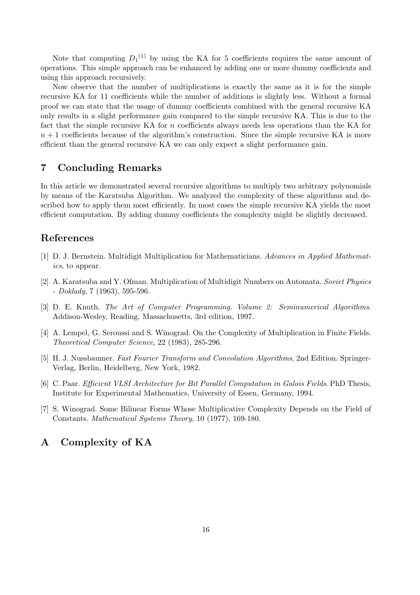Note that computing  $D_1^{(1)}$  by using the KA for 5 coefficients requires the same amount of operations. This simple approach can be enhanced by adding one or more dummy coefficients and using this approach recursively.

Now observe that the number of multiplications is exactly the same as it is for the simple recursive KA for 11 coefficients while the number of additions is slightly less. Without a formal proof we can state that the usage of dummy coefficients combined with the general recursive KA only results in a slight performance gain compared to the simple recursive KA. This is due to the fact that the simple recursive KA for  $n$  coefficients always needs less operations than the KA for  $n + 1$  coefficients because of the algorithm's construction. Since the simple recursive KA is more efficient than the general recursive KA we can only expect a slight performance gain.

## 7 Concluding Remarks

In this article we demonstrated several recursive algorithms to multiply two arbitrary polynomials by means of the Karatsuba Algorithm. We analyzed the complexity of these algorithms and described how to apply them most efficiently. In most cases the simple recursive KA yields the most efficient computation. By adding dummy coefficients the complexity might be slightly decreased.

## References

- [1] D. J. Bernstein. Multidigit Multiplication for Mathematicians. Advances in Applied Mathematics, to appear.
- [2] A. Karatsuba and Y. Ofman. Multiplication of Multidigit Numbers on Automata. Soviet Physics  $-$  *Doklady*,  $7(1963)$ , 595-596.
- [3] D. E. Knuth. The Art of Computer Programming. Volume 2: Seminumerical Algorithms. Addison-Wesley, Reading, Massachusetts, 3rd edition, 1997.
- [4] A. Lempel, G. Seroussi and S. Winograd. On the Complexity of Multiplication in Finite Fields. Theoretical Computer Science, 22 (1983), 285-296.
- [5] H. J. Nussbaumer. Fast Fourier Transform and Convolution Algorithms, 2nd Edition. Springer-Verlag, Berlin, Heidelberg, New York, 1982.
- [6] C. Paar. Efficient VLSI Architecture for Bit Parallel Computation in Galois Fields. PhD Thesis, Institute for Experimental Mathematics, University of Essen, Germany, 1994.
- [7] S. Winograd. Some Bilinear Forms Whose Multiplicative Complexity Depends on the Field of Constants. Mathematical Systems Theory, 10 (1977), 169-180.

## A Complexity of KA